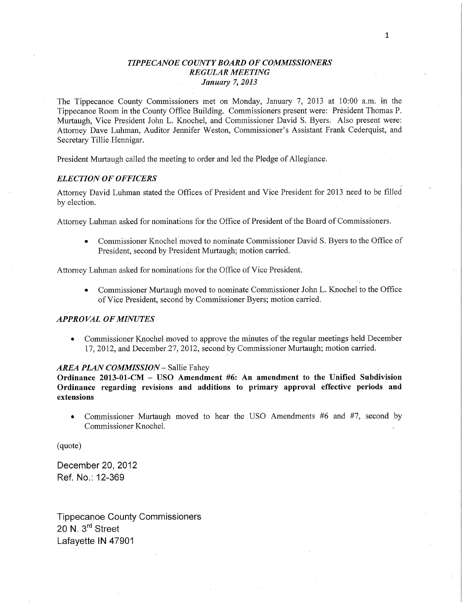# *TIPPE CANOE COUNTY BOARD* OF *COMMISSIONERS REGULAR MEETING Janualy* 7, *2013* .

The Tippecanoe County Commissioners met on Monday, January 7, 2013 at **10:00** am. in the Tippecanoe Room in the County Office Building. Commissioners present were: Président Thomas P. Murtaugh, Vice President John L. Knochel, and Commissioner David S. Byers. Also present were: Attorney Dave Luhman, Auditor Jennifer Weston, Commissioner's Assistant Frank Cederquist, and Secretary Tillie Hennigar.

President Murtaugh called the meeting to order and led the Pledge of Allegiance.

#### *ELECTION* OF *OFFICERS*

Attorney David Luhman stated the Offices of President and Vice President for 2013 need to be filled by election.

Attorney Luhman asked for nominations for the Office of President of the Board of Commissioners.

Commissioner Knochel moved to nominate Commissioner David S. Byers to the Office of President, second by President Murtaugh; motion carried.

Attorney Luhman asked for nominations for the Office of Vice President.

**0** Commissioner Murtaugh moved to nominate Commissionei' John L. Knochel to the Office of Vice President, second by Commissioner Byers; motion carried.

#### *APPROVAL* OF *MINUTES*

**-** Commissionér Knochel moved to approve the minutes of the regular meetings **held** December 17, 2012, and **December** 27, 2012, second by Commissioner Murtaugh; **motion** carried.

#### *AREA PLAN COMMISSION* - Sallie Fahey

**Ordinance 2013-01-CM** *—* USO **Amendment** #6: An **amendment** to the **Unified Subdivision Ordinance regarding revisions and additions to primary approval effective periods and extensions** 

**0** Commissioner Murtaugh moved to hear the USO Amendments #6 and #7, second by Commissioner Knochel.

(quote)

December 20, 2012 Ref. No.: 12-369

Tippecanoe County Commissioners 20 N. 3<sup>rd</sup> Street Lafayette IN 47901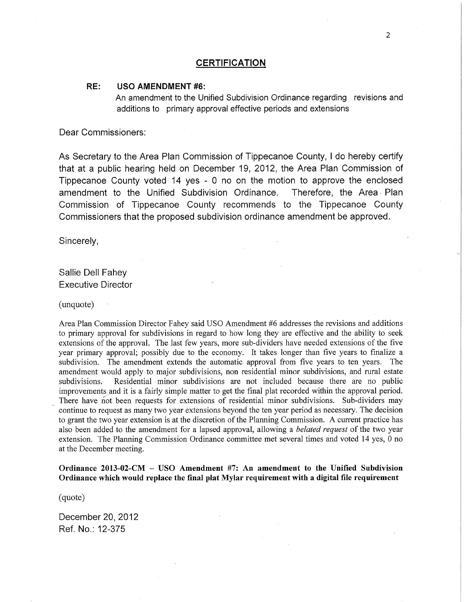#### RE: USO AMENDMENT #6:

An amendmerit to the Unified Subdivision Ordinance regarding revisions and additions to **primary** approval effective periods and extensions

Dear Commissioners:

As Secretary to the Area Plan **Commission** of Tippecanoe County, *I* do hereby **certify**  that at a public hearing held on December 19, 2012, the Area Plan Commission of Tippecanoe County voted 14 yes *-* 0 no on the motion to approve the enclosed amendment to the Unified Subdivision Ordinance. Therefore, the Area Plan Commission of Tippecanoe County recommends to the Tippecanoe County Commissioners that the proposed subdivision ordinance amendment be approved.

Sincerely,

Sallie Dell Fahey Executive Director

(unquote)

Area Plan Commission Director Fahey said USO Amendment #6 addresses the revisions and additions to primary approval for subdivisions in regard to how long they are effective and the ability to seek extensions of the approval. The last few years, more sub-dividers have needed extensions of the five year primary approval; possibly due to the economy. It takes longer than five years to finalize <sup>a</sup> subdivision. The amendment extends the automatic approval from five years to ten years. The amendment would apply to major subdivisions, non residential minor subdivisions, and rural estate subdivisions. Residential minor subdivisions are not included because there are no public improvements and it is a fairly simple matter to get the final plat recorded within the approval period. There have not been requests for extensions of residential minor subdivisions. Sub-dividers may continue to request as many two year extensions beyond the ten year period as necessary. The decision to grant the two year extension is at the discretion of the **Planning** Commission. A current practice has also been added to the amendment for a lapsed approval, allowing a *belated request* of the two year extension. The Planning Commission Ordinance committee met several times and voted 14 yes, 0 no at the December meeting.

**Ordinance 2013-02-CM -** USO **Amendment** #7: An **amendment** to the Unified Subdivision **Ordinance** which would **replace** the **final plat Mylar requirement** with **a digital** file **requirement** 

(quote)

December 20, 2012 Ref. No.: 12-375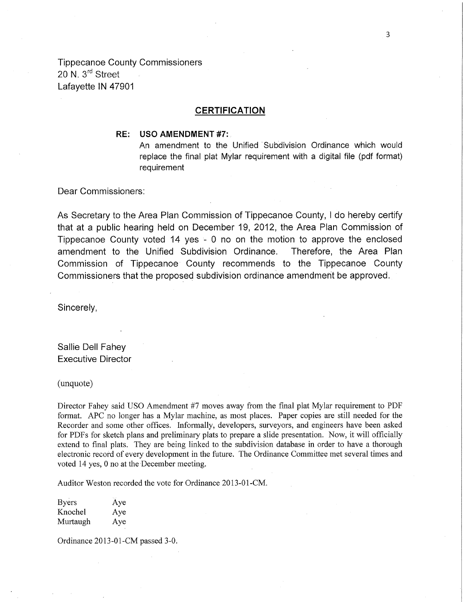Tippecanoe County Commissioners 20 N. 3<sup>rd</sup> Street Lafayette IN 47901

# **CERTIFICATION**

# RE: USO AMENDMENT #7:

An amendment to the Unified Subdivision Ordinance which would replace the final plat Mylar requirement with a digital file (pdf format) requirement

Dear **Commissioners:** 

As Secretary to the Area Plan **Commission** of Tippecanoe County, I do hereby certify **that** at a public hearing held on December 19, 2012, the Area Plan Commission of Tippecanoe County voted 14 yes - 0 no on the motion to approve the enclosed amendment to the Unified Subdivision Ordinance. Therefore, the Area Plan Commission of Tippecanoe" County recommends to the Tippecanoe County Commissioners that the proposed subdivision ordinance amendment be approved.

Sincerely,

Sallie Dell Fahey Executive Director

(unquote)

Director Fahey said USO Amendment #7 moves away from the final plat Mylar requirement to PDF format. APC no longer has a Mylar machine, as most places. Paper copies are still needed for the Recorder and some other offices. Informally, developers, surveyors, and engineers have been asked for PDFs for sketch plans and preliminary plats to prepare a slide presentation. Now, it will officially extend to final plats. They are being linked to the subdivision database in order to have a thorough electronic record of every development in the future. The Ordinance Committee met several times and voted 14 yes, 0 no at the December meeting. '

Auditor Weston recorded the vote for Ordinance 2013-01-CM.

| <b>Byers</b> | Aye |
|--------------|-----|
| Knochel      | Aye |
| Murtaugh     | Aye |

Ordinance 2013—01—CM passed 3-0.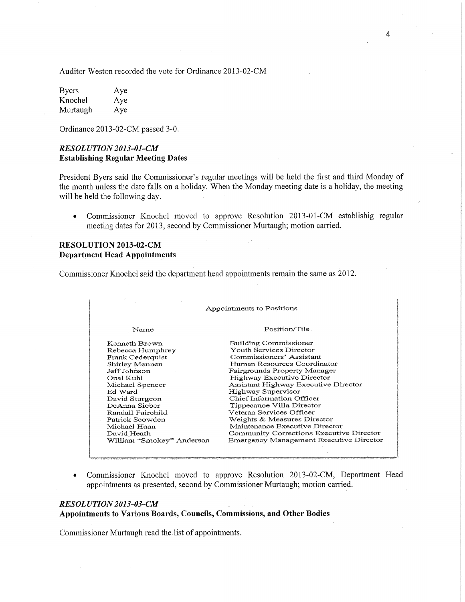Auditor Weston recorded the vote for Ordinance 2013-02—CM

| <b>Byers</b> | Aye |
|--------------|-----|
| Knochel      | Aye |
| Murtaugh     | Aye |

Ordinance 2013-02-CM passed 3-0.

### *RESOLUTION 2013-01-CM*  **Establishing Regular Meeting** Dates

President Byers said the Commissioner's regular meetings will be held the first and third Monday of the month unless the date falls on a holiday. When the Monday meeting date is a holiday, the meeting will be held the following day.

**0** Commissioner Knochel movéd to approve Resolution 2013-01-CM establishig regular meeting dates for 2013, second by Commissioner Murtaugh; motion carried.

# **RESOLUTION 2013-02-CM Department Head Appointmgnts**

Commissioner Knochel said the department head appointments remain the same as 2012.

| Appointments to Positions |                                          |  |
|---------------------------|------------------------------------------|--|
| Name                      | Position/Tile                            |  |
| Kenneth Brown             | Building Commissioner                    |  |
| Rebecca Humphrey          | Youth Services Director                  |  |
| Frank Cederquist          | Commissioners' Assistant                 |  |
| Shirley Mennen            | Human Resources Coordinator              |  |
| Jeff Johnson              | Fairgrounds Property Manager             |  |
| Opal Kuhl                 | Highway Executive Director               |  |
| Michael Spencer           | Assistant Highway Executive Director     |  |
| Ed Ward                   | Highway Supervisor                       |  |
| David Sturgeon            | Chief Information Officer                |  |
| DeAnna Sieber             | Tippecanoe Villa Director                |  |
| Randall Fairchild         | Veteran Services Officer                 |  |
| Patrick Scowden           | Weights & Measures Director              |  |
| Michael Haan              | Maintenance Executive Director           |  |
| David Heath               | Community Corrections Executive Director |  |
| William "Smokey" Anderson | Emergency Management Executive Director  |  |

**0** Commissioner Knochel moved to approve Resolution 2013-02-CM, Department Head appointments as presented, second by Commissioner Murtaugh; motion carried.

#### *RESOL UTION2013-03-CM* \_ **A** '

**Appointments** to **Various Boards,** Councils, Commissions, and **Other** Bodies

Commissioner Murtaugh read the list of appointments.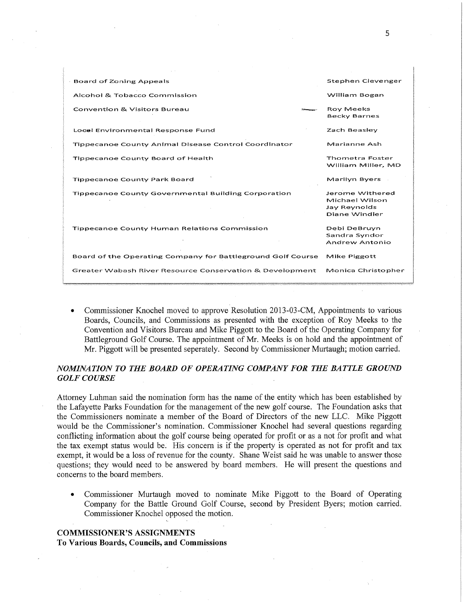| Board of Zoning Appeals                                     | Stephen Clevenger                                                  |
|-------------------------------------------------------------|--------------------------------------------------------------------|
| Alcohol & Tobacco Commission                                | William Bogan                                                      |
| <b>Convention &amp; Visitors Bureau</b>                     | <b>Roy Meeks</b><br><b>Becky Barnes</b>                            |
| Local Environmental Response Fund                           | Zach Beasley                                                       |
| <b>Tippecanoe County Animal Disease Control Coordinator</b> | Marianne Ash                                                       |
| Tippecanoe County Board of Health                           | <b>Thometra Foster</b><br>William Miller, MD                       |
| <b>Tippecanoe County Park Board</b>                         | Marilyn Byers                                                      |
| <b>Tippecanoe County Governmental Building Corporation</b>  | Jerome Withered<br>Michael Wilson<br>Jay Reynolds<br>Diane Windler |
| Tippecanoe County Human Relations Commission                | Debi DeBruyn<br>Sandra Syndor<br>Andrew Antonio                    |
| Board of the Operating Company for Battleground Golf Course | Mike Piggott                                                       |
| Greater Wabash River Resource Conservation & Development    | Monica Christopher                                                 |

**0** Commissioner Knochel moved to approve Resolution 2013-03-CM, Appointments to various Boards, Councils, and Commissions as presented with the exception of Roy Meeks to the Convention and Visitors Bureau and Mike Piggott to the Board of the Operating Company for Battleground Golf Course. The appointment of Mr. Meeks is on hold and the appointment of Mr. Piggott will be presented seperately. Second by Commissioner Murtaugh; motion carried.

# *NOMINATION* TO THE *BOARD* OF *OPERATING COMPANY* FOR THE *BATTLE GROUND GOLF COURSE .* '

Attorney Luhman said the nomination form has the name of the entity which has been established by the Lafayette Parks Foundation for the management of the new golf course. The Foundation asks that the Commissioners nominate a member of **the'Board** of Directors of the new LLC. Mike Piggott would be the Commissioner's nomination. Commissioner Knochel had several questions regarding conflicting information about the golf course being operated for profit or as a not for profit and What the tax exempt status would be. His concern is if the property is operated as not for profit and tax. exempt, it would be a loss of revenue for the county. Shane Weist said he was unable to answer those questions; they would need to be answered by board members. He will present the questions and concerns to the board members.

**0** Commissioner Murtaugh moved to nominate Mike Piggott to the Board of Operating Company for the Battle Ground Golf Course, second by President Byers; motion carried. Commissioner Knochel opposed the motion.

# **COMMISSIONER'S ASSIGNMENTS**

To **Various** Boards, Councils, and Commissions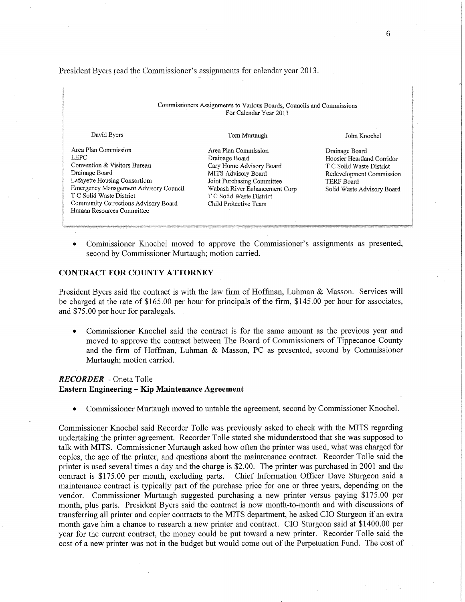President Byers read the Commissioner's assignments for calendar year 2013.

| Commissioners Assignments to Various Boards, Councils and Commissions<br>For Calendar Year 2013                                                                                                                                                                 |                                                                                                                                                                                                               |                                                                                                                                                  |  |
|-----------------------------------------------------------------------------------------------------------------------------------------------------------------------------------------------------------------------------------------------------------------|---------------------------------------------------------------------------------------------------------------------------------------------------------------------------------------------------------------|--------------------------------------------------------------------------------------------------------------------------------------------------|--|
| David Byers                                                                                                                                                                                                                                                     | Tom Murtaugh                                                                                                                                                                                                  | John Knochel                                                                                                                                     |  |
| Area Plan Commission<br><b>LEPC</b><br>Convention & Visitors Bureau<br>Drainage Board<br>Lafayette Housing Consortium<br>Emergency Management Advisory Council<br>T C Solid Waste District<br>Community Corrections Advisory Board<br>Human Resources Committee | Area Plan Commission<br>Drainage Board<br>Cary Home Advisory Board<br>MITS Advisory Board<br>Joint Purchasing Committee<br>Wabash River Enhancement Corp<br>T C Solid Waste District<br>Child Protective Team | Drainage Board<br>Hoosier Heartland Corridor<br>T C Solid Waste District<br>Redevelopment Commission<br>TERF Board<br>Solid Waste Advisory Board |  |

**0** Commissioner Knochel moved to approve the Commissioner's assignments as presented, second by Commissioner Murtaugh; motion carried.

#### CONTRACT FOR **COUNTY ATTORNEY**

President Byers said the contract is with the law firm of Hoffman, Luhman & Masson. Services will be charged at the rate of \$165.00 per hour for principals of the **firm,** \$145.00 per hour for associates, and \$75.00 per hour for paralegals.

• Commissioner Knochel said the contract is for the same amount as the previous year and moved to approve the contract between The Board of Commissioners of Tippecanoe County and the firm of Hoffman, Luhman & Masson, PC as presented, second by Commissioner Murtaugh; motion carried.

# *RECORDER -* Oneta Tolle **Eastern Engineering —** Kip **Maintenance Agreement**

**0** Commissioner Murtaugh moved to untable the agreement, second by Commissioner Knochel.

Commissioner Knochel said Recorder Tolle was previously asked to check with the MITS regarding undertaking the printer agreement. Recorder Tolle stated she midunderstood that she was supposed to talk with **MITS.** Commissioner Murtaugh asked how often the printer was used, what was charged for copies, the age of the printer, and questions about the maintenance contract. Recorder Tolle said the printer is used several times a day and the charge is \$2.00. The printer was purchased in 2001 and the contract is \$175.00 per month, excluding parts. Chief Information Officer Dave Sturgeon said a contract is \$175.00 per month, excluding parts. maintenance contract is typically part of the purchase price for one or three years, depending on the vendor. Commissioner Murtaugh suggested purchasing a new printer versus paying \$175.00 per **month,** plus parts. President Byers said the contract is now month-to-month and with discussions of transferring all printer and copier contracts to the **MITS** department, he asked CIO Sturgeon if an extra month gave him a chance to research a new printer and contract. CIO Sturgeon said at \$1400.00 per year for the current contract, the money could be put toward a new printer. Recorder Tolle said the cost of a new printer was not in the budget but would come out of the Perpetuation Fund. The cost of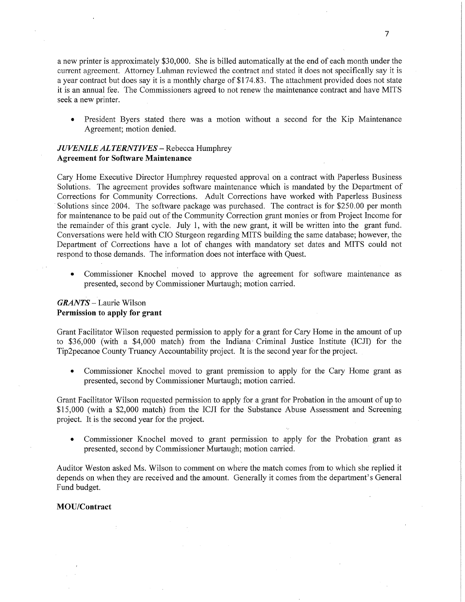<sup>a</sup>new printer is approximately \$3 0,000. She is billed automatically at the end of each month under the current agreement. Attorney Luhman reviewed the contract and stated it does not specifically say it is <sup>a</sup>year contract but does say it is a monthly charge of \$174. 83. The attachment provided does not state it is an annual fee. The Commissioners agreed to not renew the maintenance contract and have MITS seek **a** new printer.

**0** President Byers stated there was a motion without a second for the Kip Maintenance Agreement; motion denied.

# *JUVENILE ALTERNTIVES* - Rebecca Humphrey **Agreement** for **Software Maintenance**

Cary Home Executive Director Humphrey requested approval oh a contract with Paperless Business Solutions. The agreement provides software maintenance which is mandated by the Department of Corrections for Community Corrections. Adult Corrections have worked with Paperless Business Solutions since 2004. The software package was purchased. The contract is for \$250.00 per month for maintenance to be paid out of the Community Correction grant monies or from Project Income for the remainder of this grant cycle. July 1, with the new grant, it will be written into the grant fund. Conversations were held with C10 Sturgeon regarding **MITS** building the same database; however, the Department of Corrections have a lot of changes with mandatory set dates and MITS could not respond to those demands. The information does not interface with Quest.

• Commissioner Knochel moved to approve the agreement for software maintenance as presented, second by Commissioner Murtaugh; motion carried.

# **GRANTS** - Laurie Wilson Permission to apply for **grant**

Grant Facilitator Wilson requested permission to apply for a grant for Cary Home in the amount of up to \$36,000 (with a \$4,000 match) from the Indiana' **Criminal** Justice Institute (ICJI) for the Tip2pecanoe County Truancy Accountability project. It is the second year for the project.

*0* Commissioner Knochel moved to grant premission to apply for the Cary Home grant as presented, second by Commissioner Murtaugh; motion carried.

Grant Facilitator Wilson requested permission to apply for <sup>a</sup>grant for Probation in the amount of up to \$15,000 (with **a** \$2,000 match) from the ICJI for the Substance Abuse Assessment and Screening project. It is the second year for the project.

**0** Commissioner Knochel moved to grant permission to apply for the Probation grant as presented, second by Commissioner Murtaugh; motion carried.

Auditor Weston asked Ms. Wilson to comment on where the match comes from to which she replied it depends on when they are received and the amount. Generally it comes from the department's General Fund budget.

#### **MOU/Contract**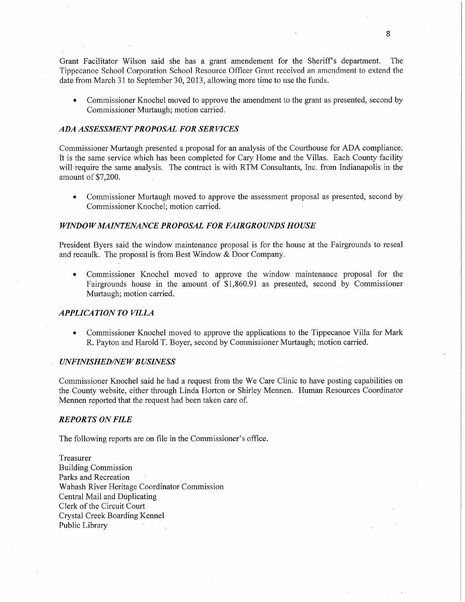Grant Facilitator Wilson said she has a grant amendement for the Sheriff's department. The Tippecanoe School Corporation School Resource Officer Grant received an amendment to extend the date from March 31 to September 30, 2013, allowing more time to use the funds.

**0** . Commissioner Knochel moved to approve the amendment to the grant as presented, second by Commissioner Murtaugh; motion carried.

#### ADA *ASSESSMENT PROPOSAL* FOR SER *VICES*

Commissioner Murtaugh presented a proposal for an analysis of the Courthouse for ADA compliance. It is the same service which has been completed for Cary Home and the Villas. Each County facility will require the same analysis. The contract is with RTM Consultants, Inc. from Indianapolis in the amount of \$7,200.

**0** Commissioner Murtaugh moved to approve the assessment proposal as presented, second by Commissioner Knochel; motion carried

#### *WINDOW MAINTENANCE PROPOSAL FOR FAIRGROUNDS HOUSE*

President Byers said the window maintenance proposal is for the house at the Fairgrounds to reseal and recaulk. The proposal is from Best Window & Door Company.

**0** Commissioner Knochel moved to approve the window maintenance proposal for the Fairgrounds house in the amount of \$1,860.91 as presented, second by Commissioner Murtaugh; motion carried.

#### **APPLICATION TO VILLA**

**-** Commissioner Knochel moved to approve the applications to the Tippecanoe Villa for Mark R. Payton and Harold T. Boyer, second by Commissioner Murtaugh; motion carried.

#### *UNFINISHED/NE W B USINESS*

Commissioner Knochel said he had a request from the We Care Clinic to have posting capabilities on the County website, either through Linda Horton or Shirley **Mennen.** Human Resources Coordinator Mennen reported that the request had been taken care of.

#### *REPORTS* ON *FILE*

The following reports are on file in the Commissioner's office.

Treasurer Building Commission Parks and Recreation Wabash River Heritage Coordinator Commission Central Mail and DUplicating Clerk of the Circuit Court Crystal Creek Boarding Kennel Public Library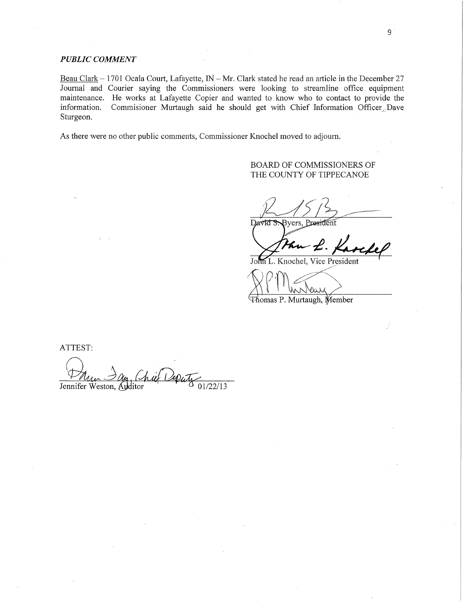# *PUBLIC COMMENT*

Beau Clark – 1701 Ocala Court, Lafayette, IN – Mr. Clark stated he read an article in the December 27 Journal and Courier \_saying the Commissioners were looking to streamline office equipment maintenance. He works at Lafayette Copier and wanted to know who to contact to provide'the information. Commisioner Murtaugh said he should get with Chief Information Officer Dave Sturgeon. The contract of the contract of the contract of the contract of the contract of the contract of the contract of the contract of the contract of the contract of the contract of the contract of the contract of the

As there were no other public comments, Commissioner Knochel moved to adjourn.

# BOARD OF COMMISSIONERS OF THE COUNTY OF TIPPECANOE

 $R$  /5/37 Byers, President David S

John L. Knochel, Vice President

RPM Instance Thomas P. Murtaugh, Member

ATTEST: Dan Day, Chief 12puts<br>Jennifer Weston, Auditor